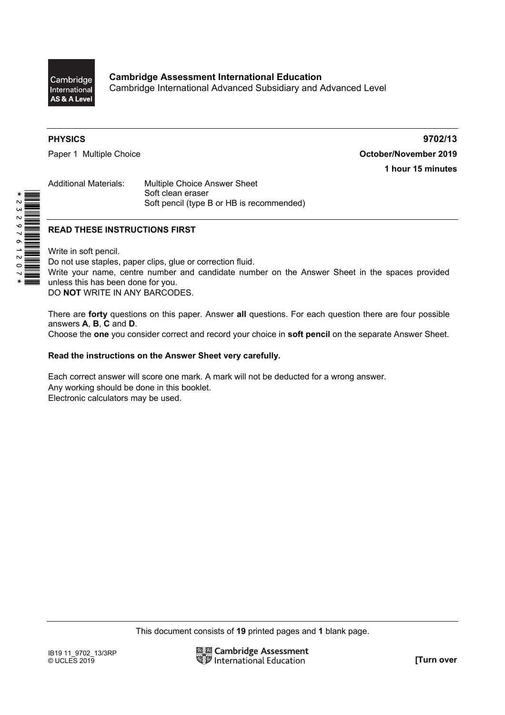

\*2329761207\*

**PHYSICS 9702/13** Paper 1 Multiple Choice **Contract Contract Contract Contract Contract Contract Contract Contract Contract Contract Contract Contract Contract Contract Contract Contract Contract Contract Contract Contract Contract Contract 1 hour 15 minutes** 

Additional Materials: Multiple Choice Answer Sheet Soft clean eraser Soft pencil (type B or HB is recommended)

# **READ THESE INSTRUCTIONS FIRST**

Write in soft pencil.

Do not use staples, paper clips, glue or correction fluid. Write your name, centre number and candidate number on the Answer Sheet in the spaces provided unless this has been done for you. DO **NOT** WRITE IN ANY BARCODES.

There are **forty** questions on this paper. Answer **all** questions. For each question there are four possible answers **A**, **B**, **C** and **D**.

Choose the **one** you consider correct and record your choice in **soft pencil** on the separate Answer Sheet.

## **Read the instructions on the Answer Sheet very carefully.**

Each correct answer will score one mark. A mark will not be deducted for a wrong answer. Any working should be done in this booklet. Electronic calculators may be used.

This document consists of **19** printed pages and **1** blank page.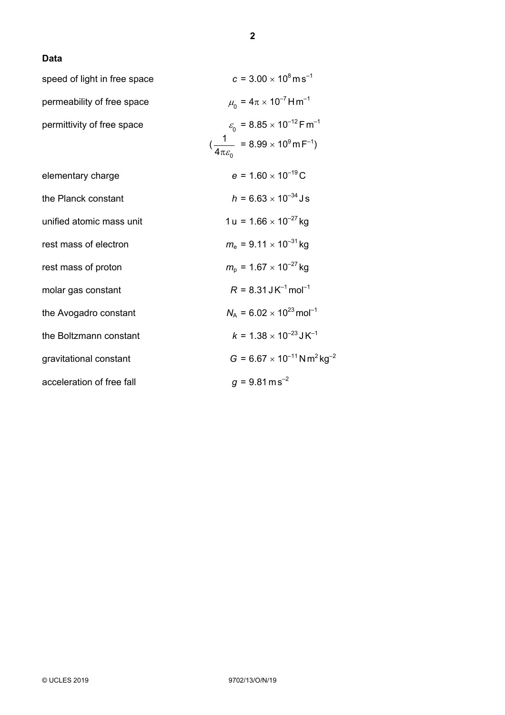# **Data**

| speed of light in free space | $c = 3.00 \times 10^8 \text{ m s}^{-1}$                           |
|------------------------------|-------------------------------------------------------------------|
| permeability of free space   | $\mu_{0} = 4\pi \times 10^{-7}$ H m <sup>-1</sup>                 |
| permittivity of free space   | $\varepsilon_{0}$ = 8.85 × 10 <sup>-12</sup> F m <sup>-1</sup>    |
|                              | $(\frac{1}{4\pi \epsilon_0} = 8.99 \times 10^9 \text{ m F}^{-1})$ |
| elementary charge            | $e = 1.60 \times 10^{-19}$ C                                      |
| the Planck constant          | $h = 6.63 \times 10^{-34}$ Js                                     |
| unified atomic mass unit     | $1 u = 1.66 \times 10^{-27}$ kg                                   |
| rest mass of electron        | $m_e$ = 9.11 $\times$ 10 <sup>-31</sup> kg                        |
| rest mass of proton          | $m_{\rm p}$ = 1.67 $\times$ 10 <sup>-27</sup> kg                  |
| molar gas constant           | $R = 8.31$ J K <sup>-1</sup> mol <sup>-1</sup>                    |
| the Avogadro constant        | $N_A = 6.02 \times 10^{23}$ mol <sup>-1</sup>                     |
| the Boltzmann constant       | $k = 1.38 \times 10^{-23}$ J K <sup>-1</sup>                      |
| gravitational constant       | $G = 6.67 \times 10^{-11}$ N m <sup>2</sup> kg <sup>-2</sup>      |
| acceleration of free fall    | $q = 9.81 \text{ m s}^{-2}$                                       |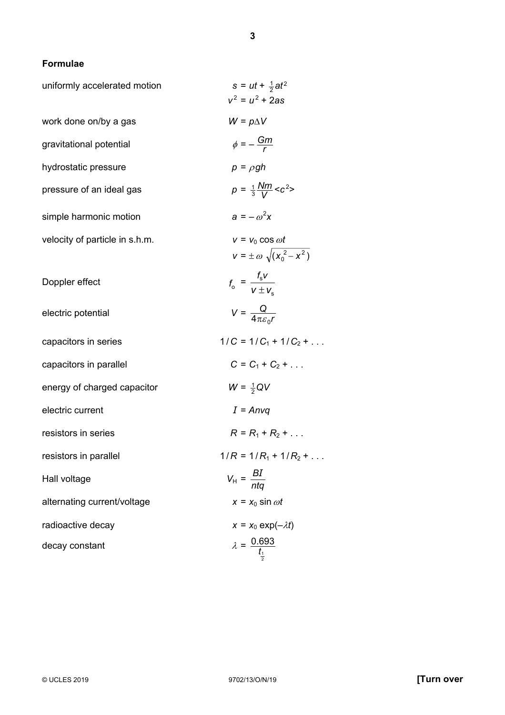# **Formulae**

| uniformly accelerated motion   | $s = ut + \frac{1}{2}at^2$<br>$v^2 = u^2 + 2as$                          |
|--------------------------------|--------------------------------------------------------------------------|
| work done on/by a gas          | $W = p\Delta V$                                                          |
| gravitational potential        | $\phi = -\frac{Gm}{r}$                                                   |
| hydrostatic pressure           | $p = \rho gh$                                                            |
| pressure of an ideal gas       | $p = \frac{1}{3} \frac{Nm}{V} < c^2$                                     |
| simple harmonic motion         | $a = -\omega^2 x$                                                        |
| velocity of particle in s.h.m. | $v = v_0 \cos \omega t$<br>$v=\pm\,\omega\,\sqrt{(x_{\rm o}^{\ 2}-x^2)}$ |
| Doppler effect                 | $f_o = \frac{f_s v}{v + v}$                                              |
| electric potential             | $V = \frac{Q}{4\pi \varepsilon_{\rm s} r}$                               |
| capacitors in series           | $1/C = 1/C_1 + 1/C_2 + $                                                 |
| capacitors in parallel         | $C = C_1 + C_2 + $                                                       |
| energy of charged capacitor    | $W = \frac{1}{2}QV$                                                      |
| electric current               | $I = Anvq$                                                               |
| resistors in series            | $R = R_1 + R_2 + $                                                       |
| resistors in parallel          | $1/R = 1/R_1 + 1/R_2 + $                                                 |
| Hall voltage                   | $V_{\text{H}} = \frac{BI}{nta}$                                          |
| alternating current/voltage    | $x = x_0 \sin \omega t$                                                  |
| radioactive decay              | $x = x_0 \exp(-\lambda t)$                                               |
| decay constant                 | $\lambda = \frac{0.693}{t_1}$                                            |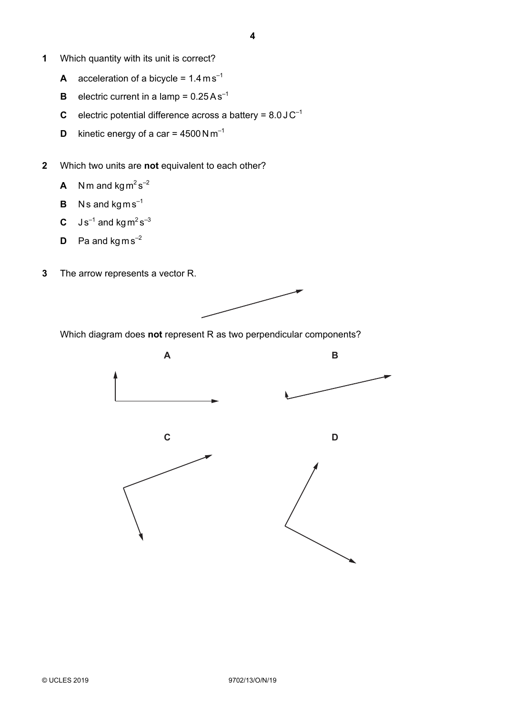- **1** Which quantity with its unit is correct?
	- **A** acceleration of a bicycle =  $1.4 \text{ m s}^{-1}$
	- **B** electric current in a lamp =  $0.25As^{-1}$
	- **C** electric potential difference across a battery =  $8.0 \, \text{J C}^{-1}$
	- **D** kinetic energy of a car =  $4500 \text{ N m}^{-1}$
- **2** Which two units are **not** equivalent to each other?
	- **A** Nm and  $\text{kg m}^2 \text{s}^{-2}$
	- **B**  $Ns$  and  $kgms^{-1}$
	- **C**  $\text{J s}^{-1}$  and kg m<sup>2</sup> s<sup>-3</sup>
	- **D** Pa and  $kgms^{-2}$
- **3** The arrow represents a vector R.



Which diagram does **not** represent R as two perpendicular components?

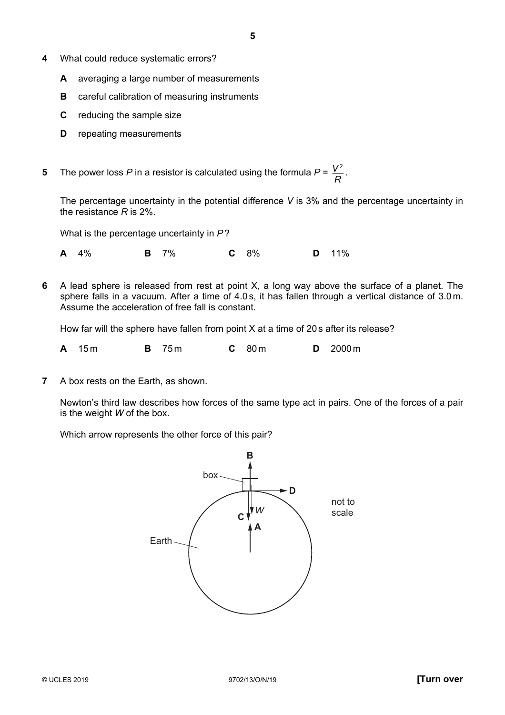- **4** What could reduce systematic errors?
	- **A** averaging a large number of measurements
	- **B** careful calibration of measuring instruments
	- **C** reducing the sample size
	- **D** repeating measurements
- **5** The power loss P in a resistor is calculated using the formula  $P = \frac{V^2}{R}$ .

The percentage uncertainty in the potential difference *V* is 3% and the percentage uncertainty in the resistance *R* is 2%.

What is the percentage uncertainty in *P*?

**A** 4% **B** 7% **C** 8% **D** 11%

**6** A lead sphere is released from rest at point X, a long way above the surface of a planet. The sphere falls in a vacuum. After a time of 4.0 s, it has fallen through a vertical distance of 3.0 m. Assume the acceleration of free fall is constant.

How far will the sphere have fallen from point X at a time of 20 s after its release?

| <b>B</b> 75m<br>$C$ 80 m<br>A 15m |  |  |  |  |  |  | $D = 2000 \text{ m}$ |
|-----------------------------------|--|--|--|--|--|--|----------------------|
|-----------------------------------|--|--|--|--|--|--|----------------------|

**7** A box rests on the Earth, as shown.

Newton's third law describes how forces of the same type act in pairs. One of the forces of a pair is the weight *W* of the box.

Which arrow represents the other force of this pair?

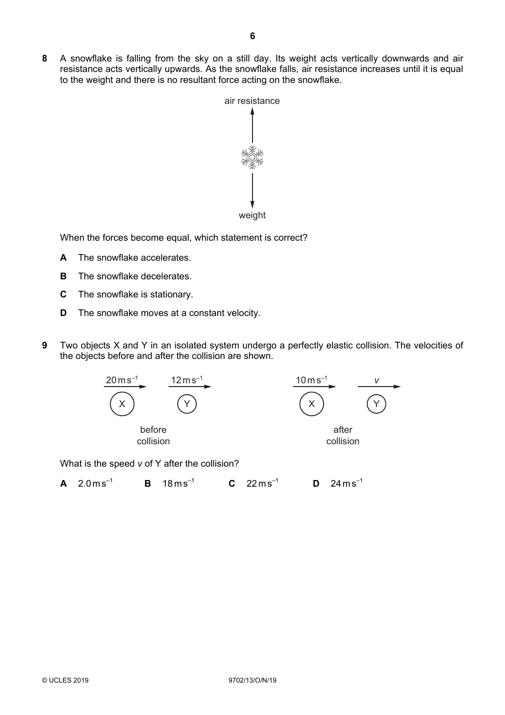

When the forces become equal, which statement is correct?

to the weight and there is no resultant force acting on the snowflake.

- **A** The snowflake accelerates.
- **B** The snowflake decelerates.
- **C** The snowflake is stationary.
- **D** The snowflake moves at a constant velocity.
- **9** Two objects X and Y in an isolated system undergo a perfectly elastic collision. The velocities of the objects before and after the collision are shown.



What is the speed *v* of Y after the collision?

**A** 2.0 m s<sup>-1</sup> **B** 18 m s<sup>-1</sup> **C** 22 m s<sup>-1</sup> **D** 24 m s<sup>-1</sup>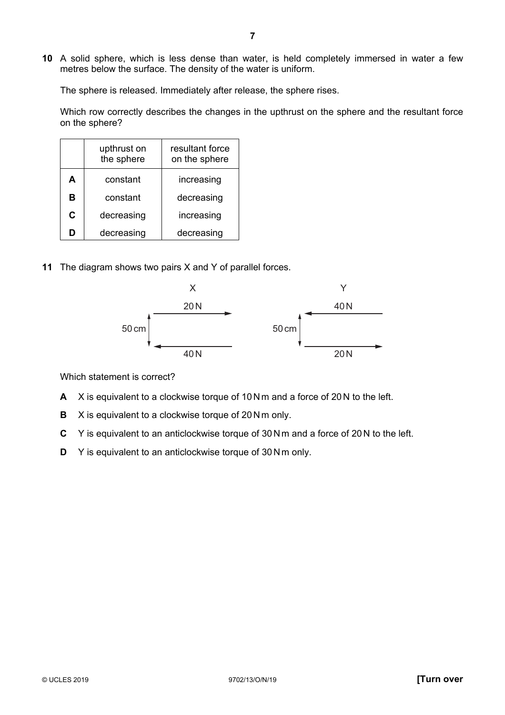**10** A solid sphere, which is less dense than water, is held completely immersed in water a few metres below the surface. The density of the water is uniform.

The sphere is released. Immediately after release, the sphere rises.

Which row correctly describes the changes in the upthrust on the sphere and the resultant force on the sphere?

|   | upthrust on<br>the sphere | resultant force<br>on the sphere |  |
|---|---------------------------|----------------------------------|--|
| A | constant                  | increasing                       |  |
| в | constant                  | decreasing                       |  |
| C | decreasing                | increasing                       |  |
| D | decreasing                | decreasing                       |  |

**11** The diagram shows two pairs X and Y of parallel forces.



Which statement is correct?

- **A** X is equivalent to a clockwise torque of 10 N m and a force of 20 N to the left.
- **B** X is equivalent to a clockwise torque of 20 N m only.
- **C** Y is equivalent to an anticlockwise torque of 30N m and a force of 20 N to the left.
- **D** Y is equivalent to an anticlockwise torque of 30 N m only.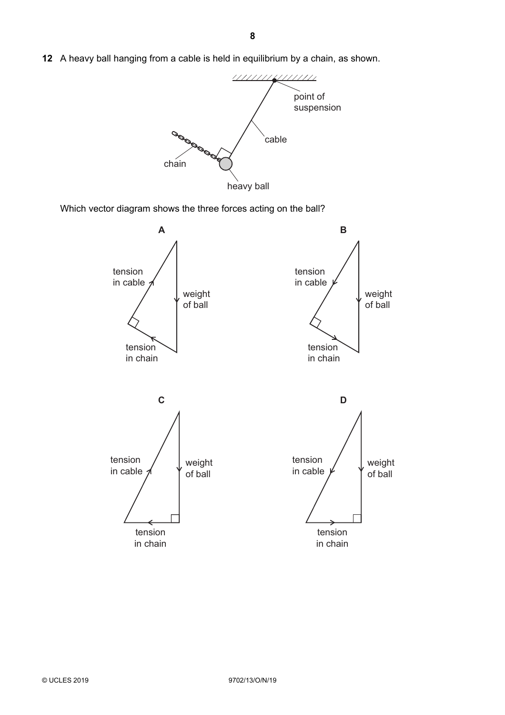**12** A heavy ball hanging from a cable is held in equilibrium by a chain, as shown.



Which vector diagram shows the three forces acting on the ball?

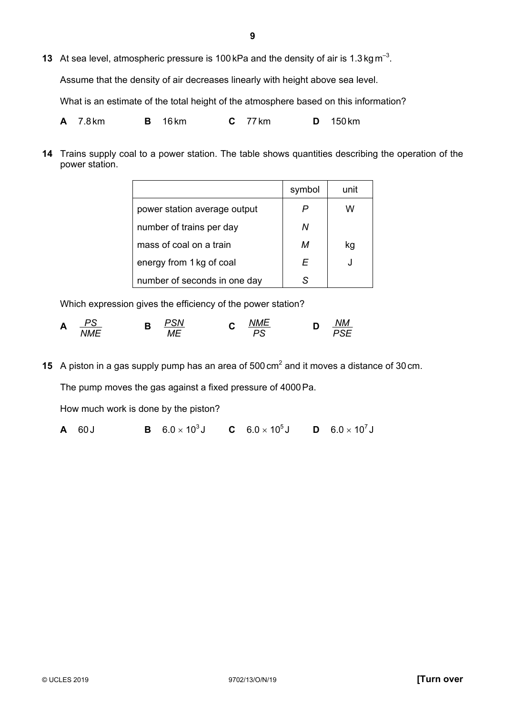**13** At sea level, atmospheric pressure is 100 kPa and the density of air is 1.3 kg m–3.

Assume that the density of air decreases linearly with height above sea level.

What is an estimate of the total height of the atmosphere based on this information?

**A** 7.8 km **B** 16 km **C** 77 km **D** 150 km

**14** Trains supply coal to a power station. The table shows quantities describing the operation of the power station.

|                              | symbol | unit |
|------------------------------|--------|------|
| power station average output | P      | w    |
| number of trains per day     | Ν      |      |
| mass of coal on a train      | м      | kq   |
| energy from 1 kg of coal     | F      |      |
| number of seconds in one day | S.     |      |

Which expression gives the efficiency of the power station?

$$
\mathbf{A} \quad \frac{PS}{NME} \qquad \qquad \mathbf{B} \quad \frac{PSN}{ME} \qquad \qquad \mathbf{C} \quad \frac{NME}{PS} \qquad \qquad \mathbf{D} \quad \frac{NM}{PSE}
$$

**15** A piston in a gas supply pump has an area of 500 cm<sup>2</sup> and it moves a distance of 30 cm. The pump moves the gas against a fixed pressure of 4000Pa.

How much work is done by the piston?

**A** 60 J **B**  $6.0 \times 10^3$  J **C**  $6.0 \times 10^5$  J **D**  $6.0 \times 10^7$  J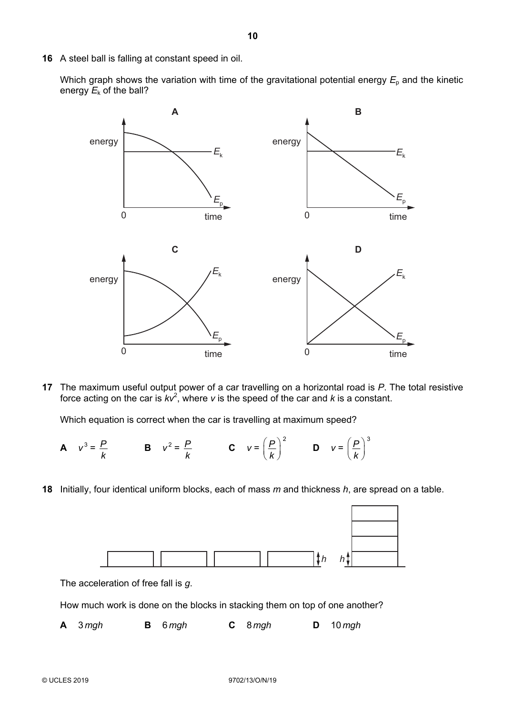**16** A steel ball is falling at constant speed in oil.

Which graph shows the variation with time of the gravitational potential energy  $E<sub>p</sub>$  and the kinetic energy  $E_k$  of the ball?



**17** The maximum useful output power of a car travelling on a horizontal road is *P*. The total resistive force acting on the car is  $kv^2$ , where *v* is the speed of the car and *k* is a constant.

Which equation is correct when the car is travelling at maximum speed?

- **A**  $v^3 = \frac{P}{r}$ *k* **B**  $v^2 = \frac{P}{f}$ *k* **C**  $v =$  $P\big)^2$  $\left(\frac{P}{k}\right)^2$  **D**  $v = \left(\frac{P}{k}\right)^3$  $\left(\frac{P}{k}\right)$
- **18** Initially, four identical uniform blocks, each of mass *m* and thickness *h*, are spread on a table.



The acceleration of free fall is *g*.

How much work is done on the blocks in stacking them on top of one another?

|  | $A \quad 3mgh$ |  | <b>B</b> 6 mgh |  | $C \quad 8 \, mgh$ | $D = 10$ mgh |
|--|----------------|--|----------------|--|--------------------|--------------|
|--|----------------|--|----------------|--|--------------------|--------------|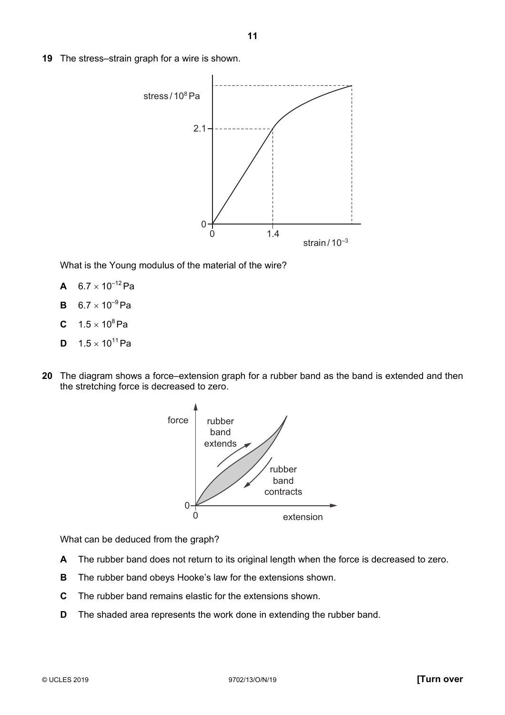**19** The stress–strain graph for a wire is shown.



What is the Young modulus of the material of the wire?

- **A**  $6.7 \times 10^{-12}$ Pa
- **B**  $6.7 \times 10^{-9}$ Pa
- **C**  $1.5 \times 10^8$  Pa
- **D**  $1.5 \times 10^{11}$ Pa
- **20** The diagram shows a force–extension graph for a rubber band as the band is extended and then the stretching force is decreased to zero.



What can be deduced from the graph?

- **A** The rubber band does not return to its original length when the force is decreased to zero.
- **B** The rubber band obeys Hooke's law for the extensions shown.
- **C** The rubber band remains elastic for the extensions shown.
- **D** The shaded area represents the work done in extending the rubber band.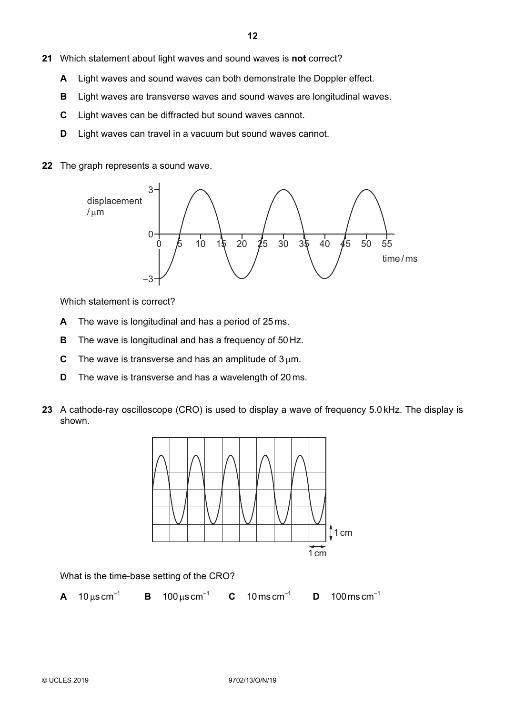- **21** Which statement about light waves and sound waves is **not** correct?
	- **A** Light waves and sound waves can both demonstrate the Doppler effect.
	- **B** Light waves are transverse waves and sound waves are longitudinal waves.
	- **C** Light waves can be diffracted but sound waves cannot.
	- **D** Light waves can travel in a vacuum but sound waves cannot.
- **22** The graph represents a sound wave.



Which statement is correct?

- **A** The wave is longitudinal and has a period of 25 ms.
- **B** The wave is longitudinal and has a frequency of 50 Hz.
- **C** The wave is transverse and has an amplitude of  $3 \mu m$ .
- **D** The wave is transverse and has a wavelength of 20 ms.
- **23** A cathode-ray oscilloscope (CRO) is used to display a wave of frequency 5.0 kHz. The display is shown.



What is the time-base setting of the CRO?

**A**  $10 \mu s \text{ cm}^{-1}$  **B**  $100 \mu s \text{ cm}^{-1}$  **C**  $10 \text{ ms cm}^{-1}$  **D**  $100 \text{ ms cm}^{-1}$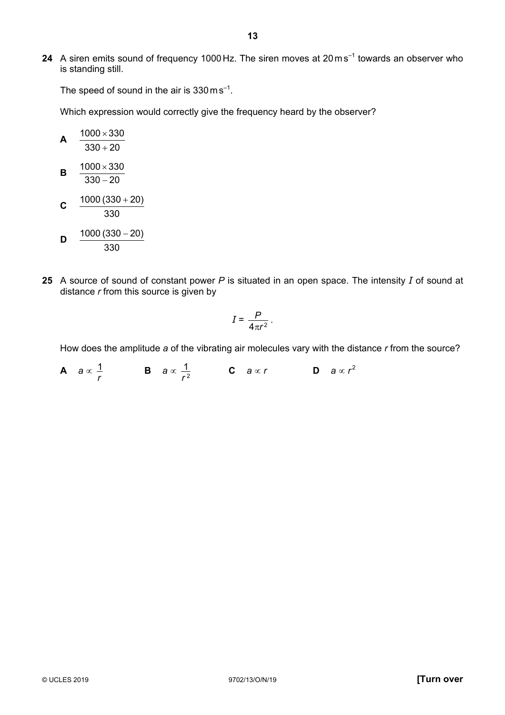**24** A siren emits sound of frequency 1000 Hz. The siren moves at 20 ms<sup>-1</sup> towards an observer who is standing still.

The speed of sound in the air is  $330 \text{ m s}^{-1}$ .

Which expression would correctly give the frequency heard by the observer?

| A | $\frac{1000 \times 330}{330 + 20}$ |
|---|------------------------------------|
| B | $\frac{1000 \times 330}{330 - 20}$ |
| C | $\frac{1000 (330 + 20)}{330}$      |
| D | $\frac{1000 (330 - 20)}{330}$      |

**25** A source of sound of constant power *P* is situated in an open space. The intensity *I* of sound at distance *r* from this source is given by

$$
I=\frac{P}{4\pi r^2}.
$$

How does the amplitude *a* of the vibrating air molecules vary with the distance *r* from the source?

**A** *a* ∝ *r*  $\frac{1}{r}$  **B**  $a \propto \frac{1}{r^2}$ 1 *r* **C** *a* ∝ *r* **D** *a* ∝ *r* <sup>2</sup>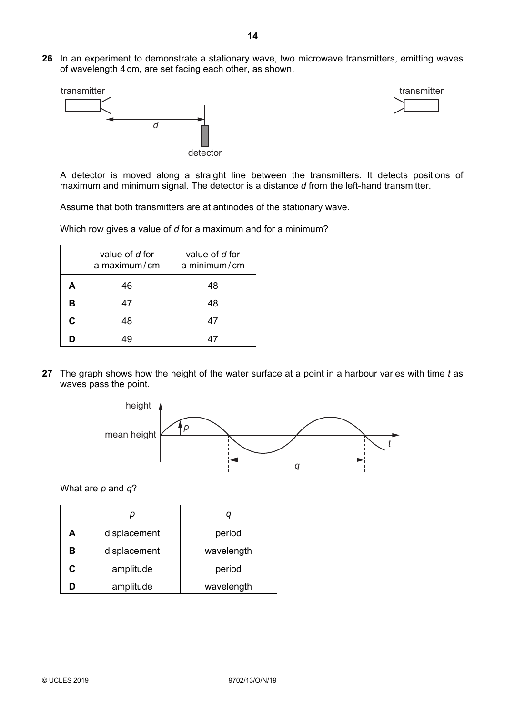**26** In an experiment to demonstrate a stationary wave, two microwave transmitters, emitting waves of wavelength 4 cm, are set facing each other, as shown.





A detector is moved along a straight line between the transmitters. It detects positions of maximum and minimum signal. The detector is a distance *d* from the left-hand transmitter.

Assume that both transmitters are at antinodes of the stationary wave.

Which row gives a value of *d* for a maximum and for a minimum?

|    | value of d for<br>a maximum/cm | value of d for<br>a minimum/cm |
|----|--------------------------------|--------------------------------|
| Α  | 46                             | 48                             |
| B  | 47                             | 48                             |
| C. | 48                             | 47                             |
| D  |                                |                                |

**27** The graph shows how the height of the water surface at a point in a harbour varies with time *t* as waves pass the point.



What are *p* and *q*?

| А | displacement | period     |  |
|---|--------------|------------|--|
| в | displacement | wavelength |  |
| С | amplitude    | period     |  |
| n | amplitude    | wavelength |  |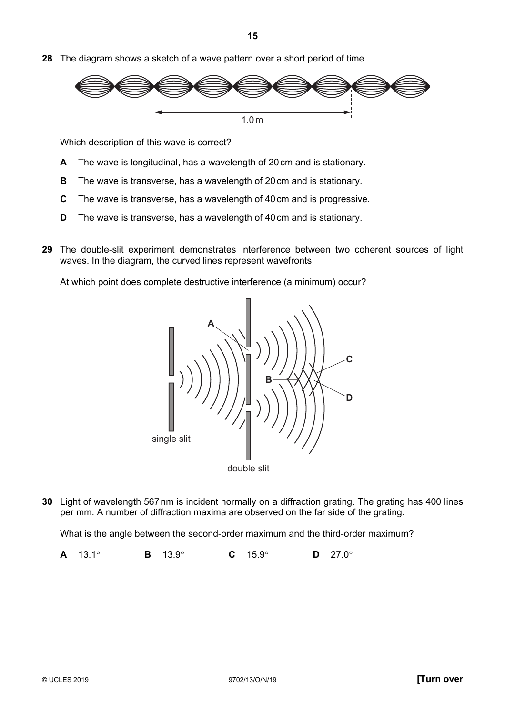**28** The diagram shows a sketch of a wave pattern over a short period of time.



Which description of this wave is correct?

- **A** The wave is longitudinal, has a wavelength of 20 cm and is stationary.
- **B** The wave is transverse, has a wavelength of 20cm and is stationary.
- **C** The wave is transverse, has a wavelength of 40cm and is progressive.
- **D** The wave is transverse, has a wavelength of 40 cm and is stationary.
- **29** The double-slit experiment demonstrates interference between two coherent sources of light waves. In the diagram, the curved lines represent wavefronts.

At which point does complete destructive interference (a minimum) occur?



**30** Light of wavelength 567 nm is incident normally on a diffraction grating. The grating has 400 lines per mm. A number of diffraction maxima are observed on the far side of the grating.

What is the angle between the second-order maximum and the third-order maximum?

**A** 13.1° **B** 13.9° **C** 15.9° **D** 27.0°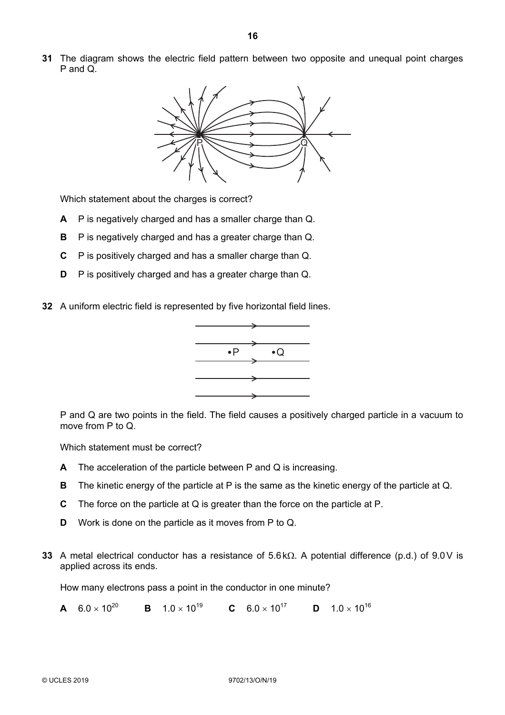**31** The diagram shows the electric field pattern between two opposite and unequal point charges P and Q.



Which statement about the charges is correct?

- **A** P is negatively charged and has a smaller charge than Q.
- **B** P is negatively charged and has a greater charge than Q.
- **C** P is positively charged and has a smaller charge than Q.
- **D** P is positively charged and has a greater charge than Q.
- **32** A uniform electric field is represented by five horizontal field lines.



P and Q are two points in the field. The field causes a positively charged particle in a vacuum to move from P to Q.

Which statement must be correct?

- **A** The acceleration of the particle between P and Q is increasing.
- **B** The kinetic energy of the particle at P is the same as the kinetic energy of the particle at Q.
- **C** The force on the particle at Q is greater than the force on the particle at P.
- **D** Work is done on the particle as it moves from P to Q.
- **33** A metal electrical conductor has a resistance of 5.6 kΩ. A potential difference (p.d.) of 9.0V is applied across its ends.

How many electrons pass a point in the conductor in one minute?

**A**  $6.0 \times 10^{20}$  **B**  $1.0 \times 10^{19}$  **C**  $6.0 \times 10^{17}$  **D**  $1.0 \times 10^{16}$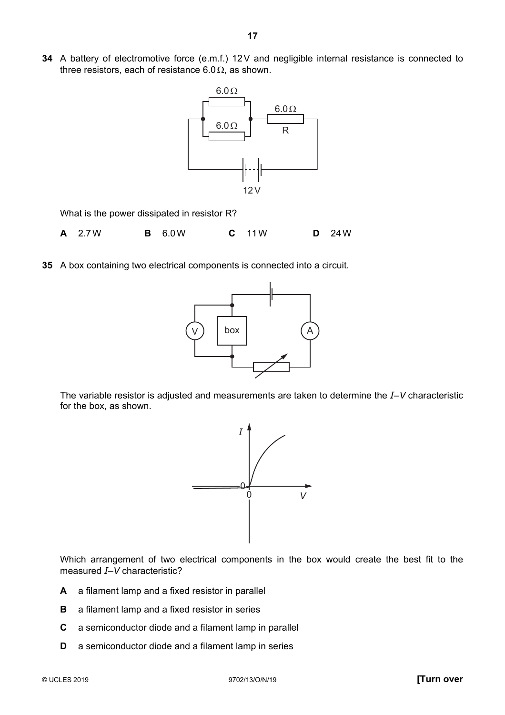**34** A battery of electromotive force (e.m.f.) 12V and negligible internal resistance is connected to three resistors, each of resistance 6.0 $\Omega$ , as shown.



What is the power dissipated in resistor R?

- **A** 2.7W **B** 6.0W **C** 11W **D** 24W
- **35** A box containing two electrical components is connected into a circuit.



The variable resistor is adjusted and measurements are taken to determine the *I*–*V* characteristic for the box, as shown.



Which arrangement of two electrical components in the box would create the best fit to the measured *I*–*V* characteristic?

- **A** a filament lamp and a fixed resistor in parallel
- **B** a filament lamp and a fixed resistor in series
- **C** a semiconductor diode and a filament lamp in parallel
- **D** a semiconductor diode and a filament lamp in series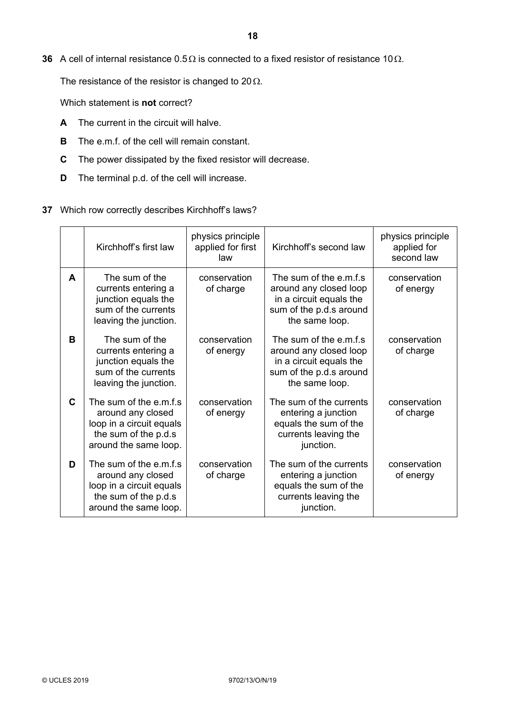**36** A cell of internal resistance 0.5Ω is connected to a fixed resistor of resistance 10Ω.

The resistance of the resistor is changed to 20 $\Omega$ .

Which statement is **not** correct?

- **A** The current in the circuit will halve.
- **B** The e.m.f. of the cell will remain constant.
- **C** The power dissipated by the fixed resistor will decrease.
- **D** The terminal p.d. of the cell will increase.
- **37** Which row correctly describes Kirchhoff's laws?

|             | Kirchhoff's first law                                                                                                    | physics principle<br>applied for first<br>law | Kirchhoff's second law                                                                                                    | physics principle<br>applied for<br>second law |
|-------------|--------------------------------------------------------------------------------------------------------------------------|-----------------------------------------------|---------------------------------------------------------------------------------------------------------------------------|------------------------------------------------|
| A           | The sum of the<br>currents entering a<br>junction equals the<br>sum of the currents<br>leaving the junction.             | conservation<br>of charge                     | The sum of the e.m.f.s<br>around any closed loop<br>in a circuit equals the<br>sum of the p.d.s around<br>the same loop.  | conservation<br>of energy                      |
| в           | The sum of the<br>currents entering a<br>junction equals the<br>sum of the currents<br>leaving the junction.             | conservation<br>of energy                     | The sum of the e.m.f.s.<br>around any closed loop<br>in a circuit equals the<br>sum of the p.d.s around<br>the same loop. | conservation<br>of charge                      |
| $\mathbf C$ | The sum of the e.m.f.s<br>around any closed<br>loop in a circuit equals<br>the sum of the p.d.s<br>around the same loop. | conservation<br>of energy                     | The sum of the currents<br>entering a junction<br>equals the sum of the<br>currents leaving the<br>junction.              | conservation<br>of charge                      |
| D           | The sum of the e.m.f.s<br>around any closed<br>loop in a circuit equals<br>the sum of the p.d.s<br>around the same loop. | conservation<br>of charge                     | The sum of the currents<br>entering a junction<br>equals the sum of the<br>currents leaving the<br>junction.              | conservation<br>of energy                      |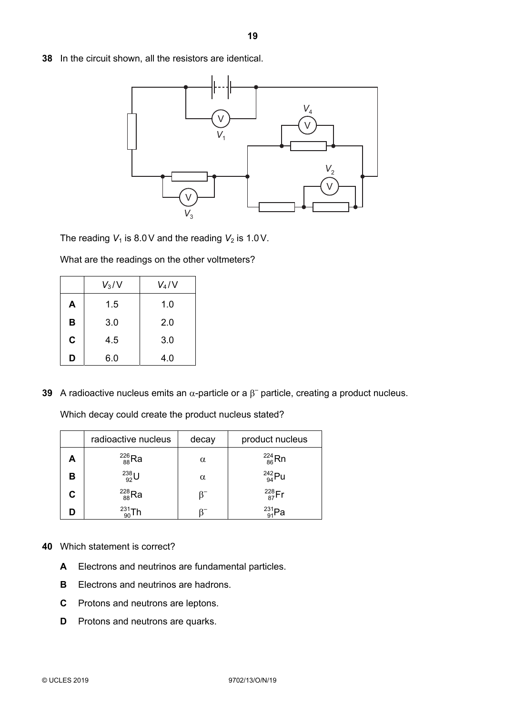**38** In the circuit shown, all the resistors are identical.



The reading  $V_1$  is 8.0V and the reading  $V_2$  is 1.0V.

What are the readings on the other voltmeters?

|          | $V_3/V$ | $V_4/V$ |  |
|----------|---------|---------|--|
| A        | 1.5     | 1.0     |  |
| B        | 3.0     | 2.0     |  |
| C<br>4.5 |         | 3.0     |  |
| D        | 6.0     | 4.0     |  |

**39** A radioactive nucleus emits an  $\alpha$ -particle or a  $\beta$ <sup>-</sup> particle, creating a product nucleus.

Which decay could create the product nucleus stated?

|   | radioactive nucleus | decay    | product nucleus  |
|---|---------------------|----------|------------------|
| А | $^{226}_{88}$ Ra    | $\alpha$ | $^{224}_{86}$ Rn |
| в | $^{238}_{92}$ U     | $\alpha$ | $^{242}_{94}$ Pu |
| C | $^{228}_{88}$ Ra    |          | $^{228}_{87}$ Fr |
|   | $^{231}_{90}Th$     |          | 231 <sub>D</sub> |

- **40** Which statement is correct?
	- **A** Electrons and neutrinos are fundamental particles.
	- **B** Electrons and neutrinos are hadrons.
	- **C** Protons and neutrons are leptons.
	- **D** Protons and neutrons are quarks.